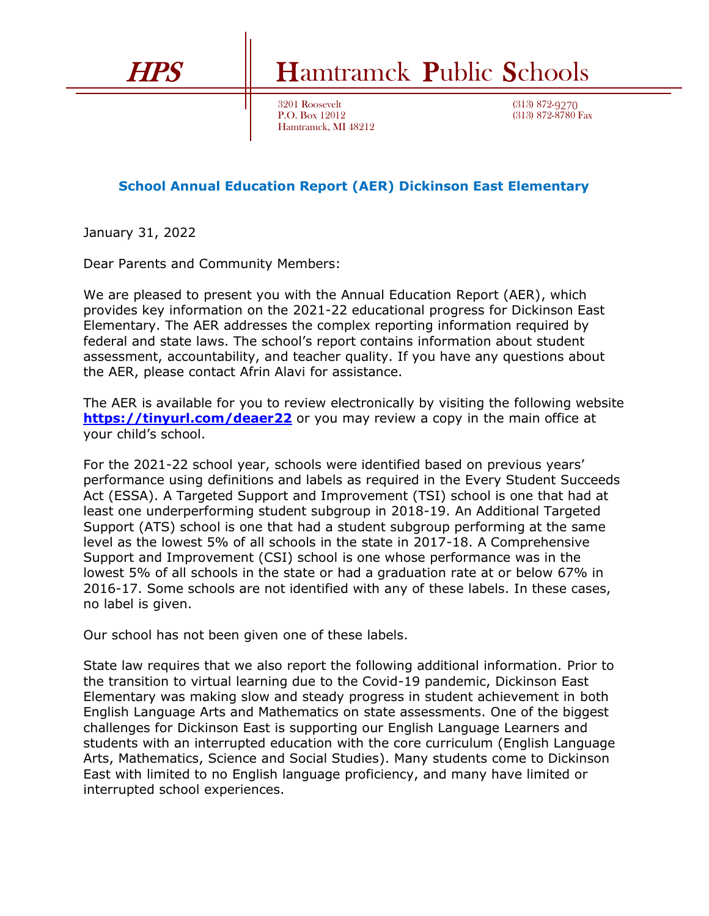

## HPS Hamtramck Public Schools

3201 Roosevelt P.O. Box 12012 Hamtramck, MI 48212 (313) 872-9270 (313) 872-8780 Fax

## **School Annual Education Report (AER) Dickinson East Elementary**

January 31, 2022

Dear Parents and Community Members:

We are pleased to present you with the Annual Education Report (AER), which provides key information on the 2021-22 educational progress for Dickinson East Elementary. The AER addresses the complex reporting information required by federal and state laws. The school's report contains information about student assessment, accountability, and teacher quality. If you have any questions about the AER, please contact Afrin Alavi for assistance.

The AER is available for you to review electronically by visiting the following website **<https://tinyurl.com/deaer22>** or you may review a copy in the main office at your child's school.

For the 2021-22 school year, schools were identified based on previous years' performance using definitions and labels as required in the Every Student Succeeds Act (ESSA). A Targeted Support and Improvement (TSI) school is one that had at least one underperforming student subgroup in 2018-19. An Additional Targeted Support (ATS) school is one that had a student subgroup performing at the same level as the lowest 5% of all schools in the state in 2017-18. A Comprehensive Support and Improvement (CSI) school is one whose performance was in the lowest 5% of all schools in the state or had a graduation rate at or below 67% in 2016-17. Some schools are not identified with any of these labels. In these cases, no label is given.

Our school has not been given one of these labels.

State law requires that we also report the following additional information. Prior to the transition to virtual learning due to the Covid-19 pandemic, Dickinson East Elementary was making slow and steady progress in student achievement in both English Language Arts and Mathematics on state assessments. One of the biggest challenges for Dickinson East is supporting our English Language Learners and students with an interrupted education with the core curriculum (English Language Arts, Mathematics, Science and Social Studies). Many students come to Dickinson East with limited to no English language proficiency, and many have limited or interrupted school experiences.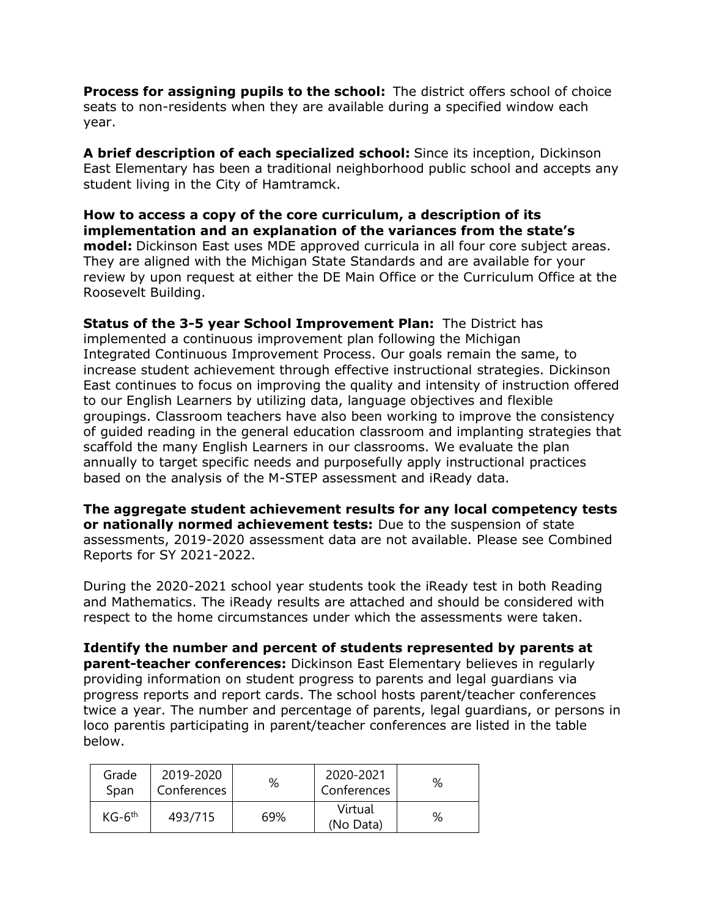**Process for assigning pupils to the school:** The district offers school of choice seats to non-residents when they are available during a specified window each year.

**A brief description of each specialized school:** Since its inception, Dickinson East Elementary has been a traditional neighborhood public school and accepts any student living in the City of Hamtramck.

**How to access a copy of the core curriculum, a description of its implementation and an explanation of the variances from the state's model:** Dickinson East uses MDE approved curricula in all four core subject areas. They are aligned with the Michigan State Standards and are available for your review by upon request at either the DE Main Office or the Curriculum Office at the Roosevelt Building.

**Status of the 3-5 year School Improvement Plan:** The District has implemented a continuous improvement plan following the Michigan Integrated Continuous Improvement Process. Our goals remain the same, to increase student achievement through effective instructional strategies. Dickinson East continues to focus on improving the quality and intensity of instruction offered to our English Learners by utilizing data, language objectives and flexible groupings. Classroom teachers have also been working to improve the consistency of guided reading in the general education classroom and implanting strategies that scaffold the many English Learners in our classrooms. We evaluate the plan annually to target specific needs and purposefully apply instructional practices based on the analysis of the M-STEP assessment and iReady data.

**The aggregate student achievement results for any local competency tests or nationally normed achievement tests:** Due to the suspension of state assessments, 2019-2020 assessment data are not available. Please see Combined Reports for SY 2021-2022.

During the 2020-2021 school year students took the iReady test in both Reading and Mathematics. The iReady results are attached and should be considered with respect to the home circumstances under which the assessments were taken.

**Identify the number and percent of students represented by parents at parent-teacher conferences:** Dickinson East Elementary believes in regularly providing information on student progress to parents and legal guardians via progress reports and report cards. The school hosts parent/teacher conferences twice a year. The number and percentage of parents, legal guardians, or persons in loco parentis participating in parent/teacher conferences are listed in the table below.

| Grade<br>Span | 2019-2020<br>Conferences | %   | 2020-2021<br>Conferences | % |
|---------------|--------------------------|-----|--------------------------|---|
| $KG-6th$      | 493/715                  | 69% | Virtual<br>(No Data)     | % |